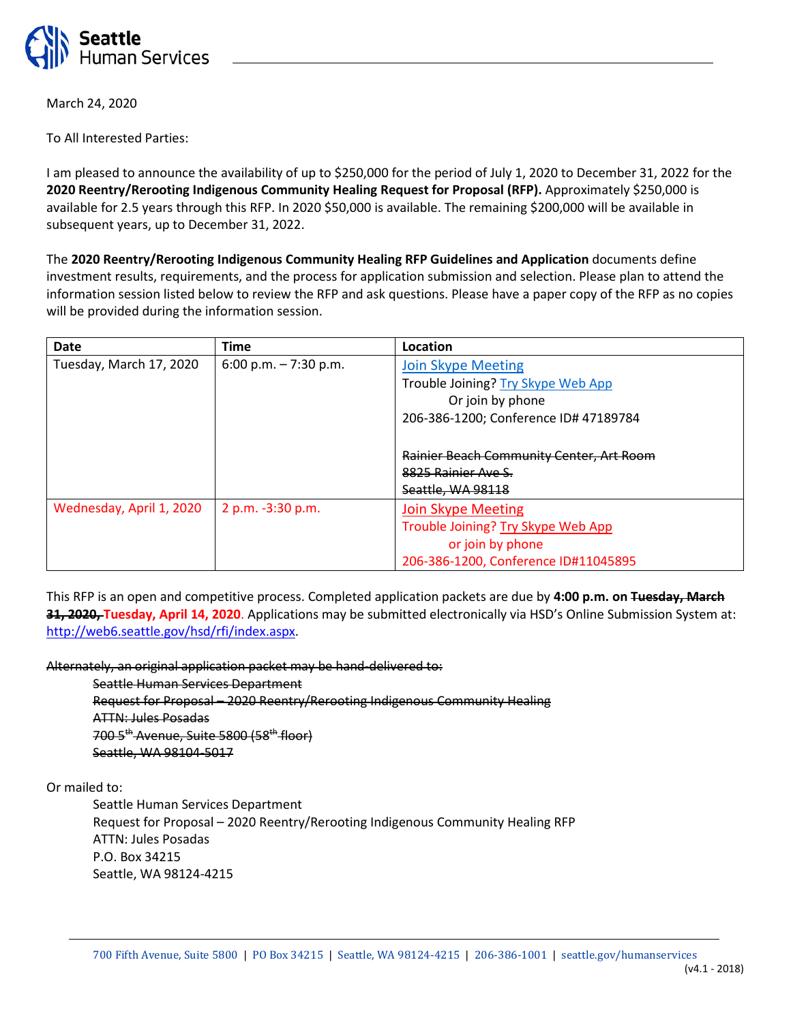

March 24, 2020

To All Interested Parties:

I am pleased to announce the availability of up to \$250,000 for the period of July 1, 2020 to December 31, 2022 for the **2020 Reentry/Rerooting Indigenous Community Healing Request for Proposal (RFP).** Approximately \$250,000 is available for 2.5 years through this RFP. In 2020 \$50,000 is available. The remaining \$200,000 will be available in subsequent years, up to December 31, 2022.

The **2020 Reentry/Rerooting Indigenous Community Healing RFP Guidelines and Application** documents define investment results, requirements, and the process for application submission and selection. Please plan to attend the information session listed below to review the RFP and ask questions. Please have a paper copy of the RFP as no copies will be provided during the information session.

| Date                     | <b>Time</b>            | Location                                        |
|--------------------------|------------------------|-------------------------------------------------|
| Tuesday, March 17, 2020  | 6:00 p.m. $-7:30$ p.m. | <b>Join Skype Meeting</b>                       |
|                          |                        | Trouble Joining? Try Skype Web App              |
|                          |                        | Or join by phone                                |
|                          |                        | 206-386-1200; Conference ID# 47189784           |
|                          |                        |                                                 |
|                          |                        | <b>Rainier Beach Community Center, Art Room</b> |
|                          |                        | 8825 Rainier Ave S.                             |
|                          |                        | Seattle, WA 98118                               |
| Wednesday, April 1, 2020 | 2 p.m. -3:30 p.m.      | Join Skype Meeting                              |
|                          |                        | Trouble Joining? Try Skype Web App              |
|                          |                        | or join by phone                                |
|                          |                        | 206-386-1200, Conference ID#11045895            |

This RFP is an open and competitive process. Completed application packets are due by **4:00 p.m. on Tuesday, March 31, 2020, Tuesday, April 14, 2020**. Applications may be submitted electronically via HSD's Online Submission System at: [http://web6.seattle.gov/hsd/rfi/index.aspx.](http://web6.seattle.gov/hsd/rfi/index.aspx)

Alternately, an original application packet may be hand-delivered to:

Seattle Human Services Department

Request for Proposal – 2020 Reentry/Rerooting Indigenous Community Healing ATTN: Jules Posadas 700 5<sup>th</sup> Avenue, Suite 5800 (58<sup>th</sup> floor) Seattle, WA 98104-5017

Or mailed to:

Seattle Human Services Department Request for Proposal – 2020 Reentry/Rerooting Indigenous Community Healing RFP ATTN: Jules Posadas P.O. Box 34215 Seattle, WA 98124-4215